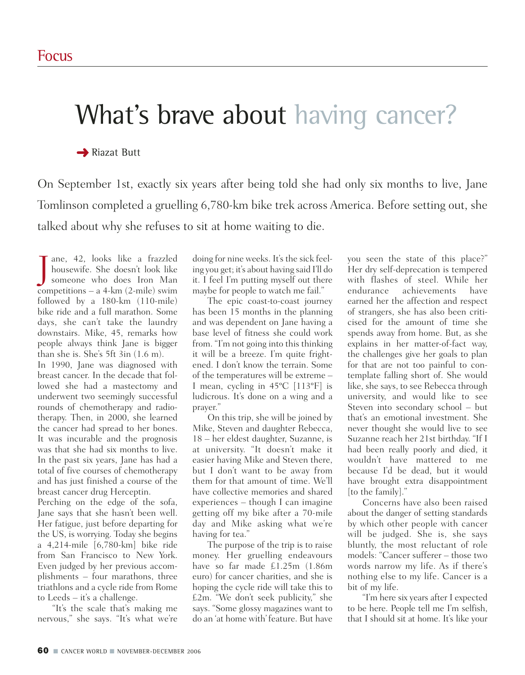# What's brave about having cancer?

**→ Riazat Butt** 

On September 1st, exactly six years after being told she had only six months to live, Jane Tomlinson completed a gruelling 6,780-km bike trek across America. Before setting out, she talked about why she refuses to sit at home waiting to die.

J ane, 42, looks like a frazzled<br>housewife. She doesn't look like<br>someone who does Iron Man ane, 42, looks like a frazzled housewife. She doesn't look like competitions – a 4-km (2-mile) swim followed by a 180-km (110-mile) bike ride and a full marathon. Some days, she can't take the laundry downstairs. Mike, 45, remarks how people always think Jane is bigger than she is. She's 5ft 3in (1.6 m). In 1990, Jane was diagnosed with

breast cancer. In the decade that followed she had a mastectomy and underwent two seemingly successful rounds of chemotherapy and radiotherapy. Then, in 2000, she learned the cancer had spread to her bones. It was incurable and the prognosis was that she had six months to live. In the past six years, Jane has had a total of five courses of chemotherapy and has just finished a course of the breast cancer drug Herceptin.

Perching on the edge of the sofa, Jane says that she hasn't been well. Her fatigue, just before departing for the US, is worrying. Today she begins a 4,214-mile [6,780-km] bike ride from San Francisco to New York. Even judged by her previous accomplishments – four marathons, three triathlons and a cycle ride from Rome to Leeds – it's a challenge.

"It's the scale that's making me nervous," she says. "It's what we're

doing for nine weeks. It's the sick feeling you get; it's about having said I'll do it. I feel I'm putting myself out there maybe for people to watch me fail."

The epic coast-to-coast journey has been 15 months in the planning and was dependent on Jane having a base level of fitness she could work from. "I'm not going into this thinking it will be a breeze. I'm quite frightened. I don't know the terrain. Some of the temperatures will be extreme – I mean, cycling in 45ºC [113ºF] is ludicrous. It's done on a wing and a prayer."

On this trip, she will be joined by Mike, Steven and daughter Rebecca, 18 – her eldest daughter, Suzanne, is at university. "It doesn't make it easier having Mike and Steven there, but I don't want to be away from them for that amount of time. We'll have collective memories and shared experiences – though I can imagine getting off my bike after a 70-mile day and Mike asking what we're having for tea."

The purpose of the trip is to raise money. Her gruelling endeavours have so far made £1.25m (1.86m euro) for cancer charities, and she is hoping the cycle ride will take this to £2m. "We don't seek publicity," she says. "Some glossy magazines want to do an 'at home with' feature. But have

you seen the state of this place?" Her dry self-deprecation is tempered with flashes of steel. While her endurance achievements have earned her the affection and respect of strangers, she has also been criticised for the amount of time she spends away from home. But, as she explains in her matter-of-fact way, the challenges give her goals to plan for that are not too painful to contemplate falling short of. She would like, she says, to see Rebecca through university, and would like to see Steven into secondary school – but that's an emotional investment. She never thought she would live to see Suzanne reach her 21st birthday. "If I had been really poorly and died, it wouldn't have mattered to me because I'd be dead, but it would have brought extra disappointment [to the family]."

Concerns have also been raised about the danger of setting standards by which other people with cancer will be judged. She is, she says bluntly, the most reluctant of role models: "Cancer sufferer – those two words narrow my life. As if there's nothing else to my life. Cancer is a bit of my life.

"I'm here six years after I expected to be here. People tell me I'm selfish, that I should sit at home. It's like your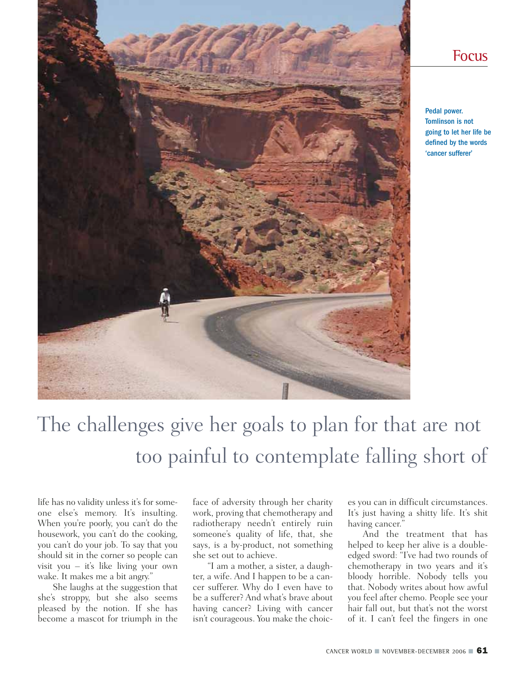

#### Focus

Pedal power. Tomlinson is not going to let her life be defined by the words 'cancer sufferer'

# The challenges give her goals to plan for that are not too painful to contemplate falling short of

life has no validity unless it's for someone else's memory. It's insulting. When you're poorly, you can't do the housework, you can't do the cooking, you can't do your job. To say that you should sit in the corner so people can visit you – it's like living your own wake. It makes me a bit angry."

She laughs at the suggestion that she's stroppy, but she also seems pleased by the notion. If she has become a mascot for triumph in the

face of adversity through her charity work, proving that chemotherapy and radiotherapy needn't entirely ruin someone's quality of life, that, she says, is a by-product, not something she set out to achieve.

"I am a mother, a sister, a daughter, a wife. And I happen to be a cancer sufferer. Why do I even have to be a sufferer? And what's brave about having cancer? Living with cancer isn't courageous. You make the choices you can in difficult circumstances. It's just having a shitty life. It's shit having cancer."

And the treatment that has helped to keep her alive is a doubleedged sword: "I've had two rounds of chemotherapy in two years and it's bloody horrible. Nobody tells you that. Nobody writes about how awful you feel after chemo. People see your hair fall out, but that's not the worst of it. I can't feel the fingers in one